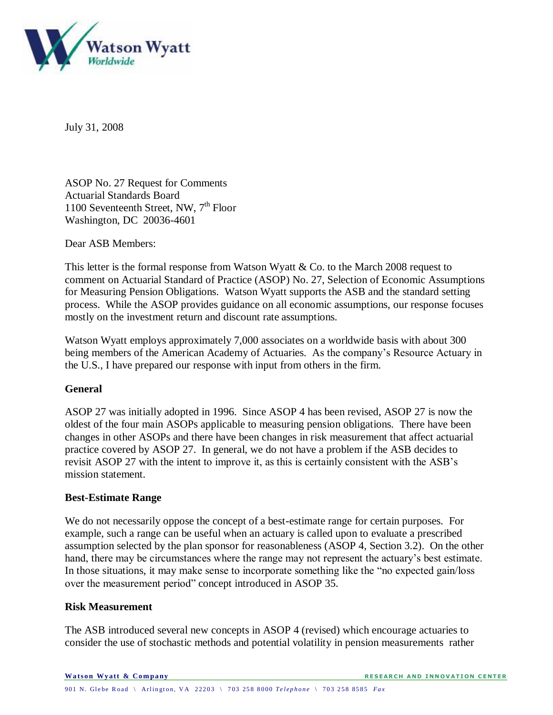

July 31, 2008

ASOP No. 27 Request for Comments Actuarial Standards Board 1100 Seventeenth Street, NW,  $7<sup>th</sup>$  Floor Washington, DC 20036-4601

Dear ASB Members:

This letter is the formal response from Watson Wyatt & Co. to the March 2008 request to comment on Actuarial Standard of Practice (ASOP) No. 27, Selection of Economic Assumptions for Measuring Pension Obligations. Watson Wyatt supports the ASB and the standard setting process. While the ASOP provides guidance on all economic assumptions, our response focuses mostly on the investment return and discount rate assumptions.

Watson Wyatt employs approximately 7,000 associates on a worldwide basis with about 300 being members of the American Academy of Actuaries. As the company's Resource Actuary in the U.S., I have prepared our response with input from others in the firm.

# **General**

ASOP 27 was initially adopted in 1996. Since ASOP 4 has been revised, ASOP 27 is now the oldest of the four main ASOPs applicable to measuring pension obligations. There have been changes in other ASOPs and there have been changes in risk measurement that affect actuarial practice covered by ASOP 27. In general, we do not have a problem if the ASB decides to revisit ASOP 27 with the intent to improve it, as this is certainly consistent with the ASB's mission statement.

# **Best-Estimate Range**

We do not necessarily oppose the concept of a best-estimate range for certain purposes. For example, such a range can be useful when an actuary is called upon to evaluate a prescribed assumption selected by the plan sponsor for reasonableness (ASOP 4, Section 3.2). On the other hand, there may be circumstances where the range may not represent the actuary's best estimate. In those situations, it may make sense to incorporate something like the "no expected gain/loss over the measurement period" concept introduced in ASOP 35.

### **Risk Measurement**

The ASB introduced several new concepts in ASOP 4 (revised) which encourage actuaries to consider the use of stochastic methods and potential volatility in pension measurements rather